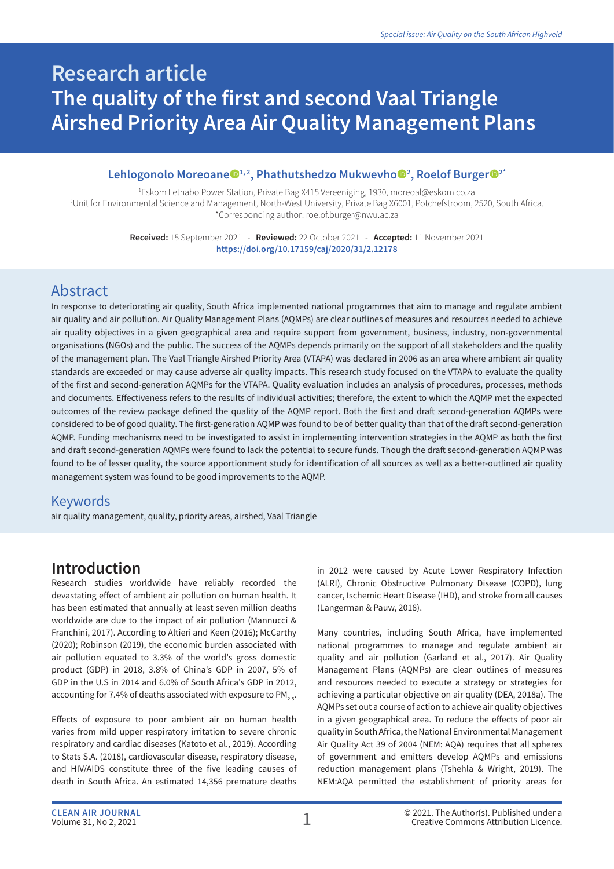# **Research article The quality of the first and second Vaal Triangle Airshed Priority Area Air Quality Management Plans**

#### Lehlogonolo Moreoane<sup>®1, 2</sup>, Phathutshedzo Mukwevho<sup>®2</sup>, Roelof Burger<sup>®2\*</sup>

1 Eskom Lethabo Power Station, Private Bag X415 Vereeniging, 1930, moreoal@eskom.co.za 2 Unit for Environmental Science and Management, North-West University, Private Bag X6001, Potchefstroom, 2520, South Africa. \*Corresponding author: roelof.burger@nwu.ac.za

> **Received:** 15 September 2021 - **Reviewed:** 22 October 2021 - **Accepted:** 11 November 2021 **https://doi.org/10.17159/caj/2020/31/2.12178**

## Abstract

In response to deteriorating air quality, South Africa implemented national programmes that aim to manage and regulate ambient air quality and air pollution. Air Quality Management Plans (AQMPs) are clear outlines of measures and resources needed to achieve air quality objectives in a given geographical area and require support from government, business, industry, non-governmental organisations (NGOs) and the public. The success of the AQMPs depends primarily on the support of all stakeholders and the quality of the management plan. The Vaal Triangle Airshed Priority Area (VTAPA) was declared in 2006 as an area where ambient air quality standards are exceeded or may cause adverse air quality impacts. This research study focused on the VTAPA to evaluate the quality of the first and second-generation AQMPs for the VTAPA. Quality evaluation includes an analysis of procedures, processes, methods and documents. Effectiveness refers to the results of individual activities; therefore, the extent to which the AQMP met the expected outcomes of the review package defined the quality of the AQMP report. Both the first and draft second-generation AQMPs were considered to be of good quality. The first-generation AQMP was found to be of better quality than that of the draft second-generation AQMP. Funding mechanisms need to be investigated to assist in implementing intervention strategies in the AQMP as both the first and draft second-generation AQMPs were found to lack the potential to secure funds. Though the draft second-generation AQMP was found to be of lesser quality, the source apportionment study for identification of all sources as well as a better-outlined air quality management system was found to be good improvements to the AQMP.

#### Keywords

air quality management, quality, priority areas, airshed, Vaal Triangle

## **Introduction**

Research studies worldwide have reliably recorded the devastating effect of ambient air pollution on human health. It has been estimated that annually at least seven million deaths worldwide are due to the impact of air pollution (Mannucci & Franchini, 2017). According to Altieri and Keen (2016); McCarthy (2020); Robinson (2019), the economic burden associated with air pollution equated to 3.3% of the world's gross domestic product (GDP) in 2018, 3.8% of China's GDP in 2007, 5% of GDP in the U.S in 2014 and 6.0% of South Africa's GDP in 2012, accounting for 7.4% of deaths associated with exposure to PM<sub>2.5</sub>.

Effects of exposure to poor ambient air on human health varies from mild upper respiratory irritation to severe chronic respiratory and cardiac diseases (Katoto et al., 2019). According to Stats S.A. (2018), cardiovascular disease, respiratory disease, and HIV/AIDS constitute three of the five leading causes of death in South Africa. An estimated 14,356 premature deaths

in 2012 were caused by Acute Lower Respiratory Infection (ALRI), Chronic Obstructive Pulmonary Disease (COPD), lung cancer, Ischemic Heart Disease (IHD), and stroke from all causes (Langerman & Pauw, 2018).

Many countries, including South Africa, have implemented national programmes to manage and regulate ambient air quality and air pollution (Garland et al., 2017). Air Quality Management Plans (AQMPs) are clear outlines of measures and resources needed to execute a strategy or strategies for achieving a particular objective on air quality (DEA, 2018a). The AQMPs set out a course of action to achieve air quality objectives in a given geographical area. To reduce the effects of poor air quality in South Africa, the National Environmental Management Air Quality Act 39 of 2004 (NEM: AQA) requires that all spheres of government and emitters develop AQMPs and emissions reduction management plans (Tshehla & Wright, 2019). The NEM:AQA permitted the establishment of priority areas for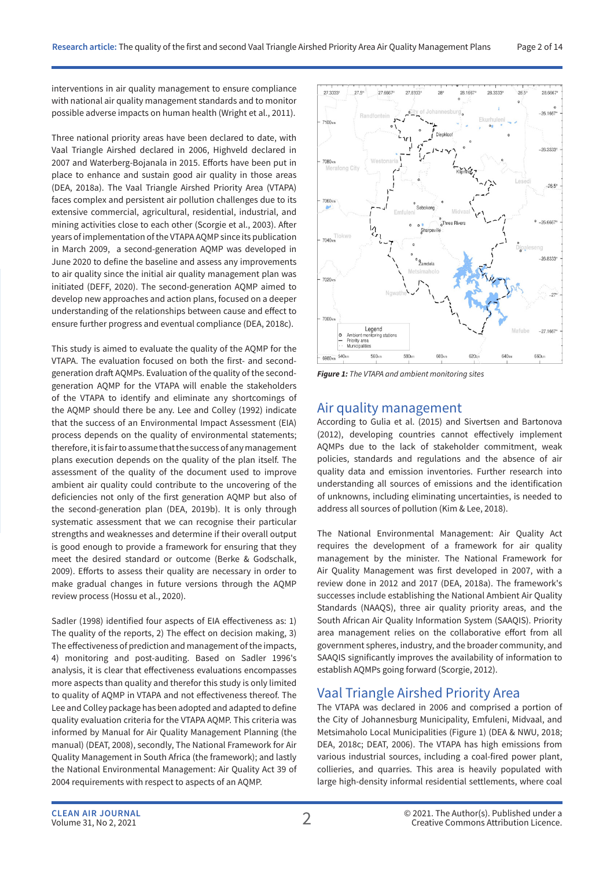interventions in air quality management to ensure compliance with national air quality management standards and to monitor possible adverse impacts on human health (Wright et al., 2011).

Three national priority areas have been declared to date, with Vaal Triangle Airshed declared in 2006, Highveld declared in 2007 and Waterberg-Bojanala in 2015. Efforts have been put in place to enhance and sustain good air quality in those areas (DEA, 2018a). The Vaal Triangle Airshed Priority Area (VTAPA) faces complex and persistent air pollution challenges due to its extensive commercial, agricultural, residential, industrial, and mining activities close to each other (Scorgie et al., 2003). After years of implementation of the VTAPA AQMP since its publication in March 2009, a second-generation AQMP was developed in June 2020 to define the baseline and assess any improvements to air quality since the initial air quality management plan was initiated (DEFF, 2020). The second-generation AQMP aimed to develop new approaches and action plans, focused on a deeper understanding of the relationships between cause and effect to ensure further progress and eventual compliance (DEA, 2018c).

This study is aimed to evaluate the quality of the AQMP for the VTAPA. The evaluation focused on both the first- and secondgeneration draft AQMPs. Evaluation of the quality of the secondgeneration AQMP for the VTAPA will enable the stakeholders of the VTAPA to identify and eliminate any shortcomings of the AQMP should there be any. Lee and Colley (1992) indicate that the success of an Environmental Impact Assessment (EIA) process depends on the quality of environmental statements; therefore, it is fair to assume that the success of any management plans execution depends on the quality of the plan itself. The assessment of the quality of the document used to improve ambient air quality could contribute to the uncovering of the deficiencies not only of the first generation AQMP but also of the second-generation plan (DEA, 2019b). It is only through systematic assessment that we can recognise their particular strengths and weaknesses and determine if their overall output is good enough to provide a framework for ensuring that they meet the desired standard or outcome (Berke & Godschalk, 2009). Efforts to assess their quality are necessary in order to make gradual changes in future versions through the AQMP review process (Hossu et al., 2020).

Sadler (1998) identified four aspects of EIA effectiveness as: 1) The quality of the reports, 2) The effect on decision making, 3) The effectiveness of prediction and management of the impacts, 4) monitoring and post-auditing. Based on Sadler 1996's analysis, it is clear that effectiveness evaluations encompasses more aspects than quality and therefor this study is only limited to quality of AQMP in VTAPA and not effectiveness thereof. The Lee and Colley package has been adopted and adapted to define quality evaluation criteria for the VTAPA AQMP. This criteria was informed by Manual for Air Quality Management Planning (the manual) (DEAT, 2008), secondly, The National Framework for Air Quality Management in South Africa (the framework); and lastly the National Environmental Management: Air Quality Act 39 of 2004 requirements with respect to aspects of an AQMP.



*Figure 1: The VTAPA and ambient monitoring sites*

#### Air quality management

According to Gulia et al. (2015) and Sivertsen and Bartonova (2012), developing countries cannot effectively implement AQMPs due to the lack of stakeholder commitment, weak policies, standards and regulations and the absence of air quality data and emission inventories. Further research into understanding all sources of emissions and the identification of unknowns, including eliminating uncertainties, is needed to address all sources of pollution (Kim & Lee, 2018).

The National Environmental Management: Air Quality Act requires the development of a framework for air quality management by the minister. The National Framework for Air Quality Management was first developed in 2007, with a review done in 2012 and 2017 (DEA, 2018a). The framework's successes include establishing the National Ambient Air Quality Standards (NAAQS), three air quality priority areas, and the South African Air Quality Information System (SAAQIS). Priority area management relies on the collaborative effort from all government spheres, industry, and the broader community, and SAAQIS significantly improves the availability of information to establish AQMPs going forward (Scorgie, 2012).

#### Vaal Triangle Airshed Priority Area

The VTAPA was declared in 2006 and comprised a portion of the City of Johannesburg Municipality, Emfuleni, Midvaal, and Metsimaholo Local Municipalities (Figure 1) (DEA & NWU, 2018; DEA, 2018c; DEAT, 2006). The VTAPA has high emissions from various industrial sources, including a coal-fired power plant, collieries, and quarries. This area is heavily populated with large high-density informal residential settlements, where coal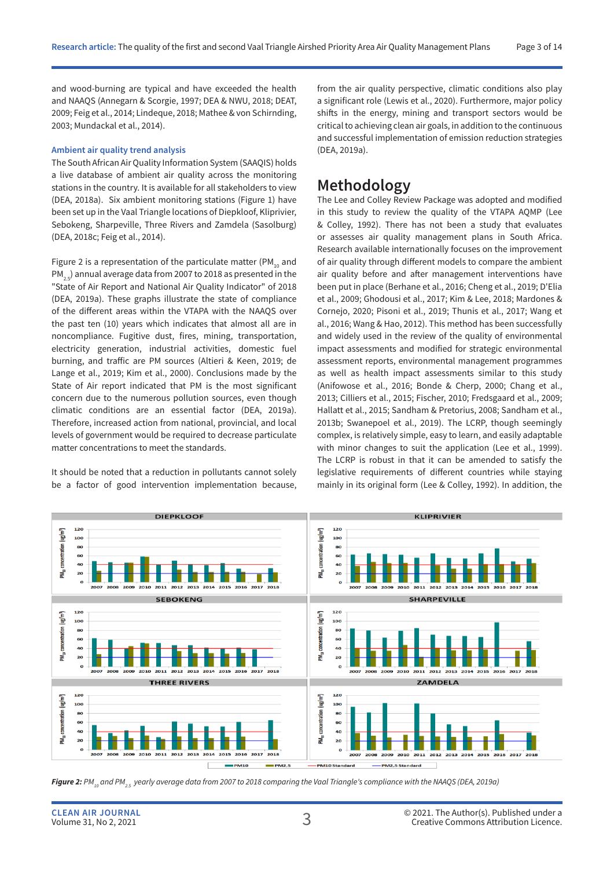and wood-burning are typical and have exceeded the health and NAAQS (Annegarn & Scorgie, 1997; DEA & NWU, 2018; DEAT, 2009; Feig et al., 2014; Lindeque, 2018; Mathee & von Schirnding, 2003; Mundackal et al., 2014).

#### **Ambient air quality trend analysis**

The South African Air Quality Information System (SAAQIS) holds a live database of ambient air quality across the monitoring stations in the country. It is available for all stakeholders to view (DEA, 2018a). Six ambient monitoring stations (Figure 1) have been set up in the Vaal Triangle locations of Diepkloof, Kliprivier, Sebokeng, Sharpeville, Three Rivers and Zamdela (Sasolburg) (DEA, 2018c; Feig et al., 2014).

Figure 2 is a representation of the particulate matter (PM $_{10}$  and PM<sub>2.5</sub>) annual average data from 2007 to 2018 as presented in the "State of Air Report and National Air Quality Indicator" of 2018 (DEA, 2019a). These graphs illustrate the state of compliance of the different areas within the VTAPA with the NAAQS over the past ten (10) years which indicates that almost all are in noncompliance. Fugitive dust, fires, mining, transportation, electricity generation, industrial activities, domestic fuel burning, and traffic are PM sources (Altieri & Keen, 2019; de Lange et al., 2019; Kim et al., 2000). Conclusions made by the State of Air report indicated that PM is the most significant concern due to the numerous pollution sources, even though climatic conditions are an essential factor (DEA, 2019a). Therefore, increased action from national, provincial, and local levels of government would be required to decrease particulate matter concentrations to meet the standards.

It should be noted that a reduction in pollutants cannot solely be a factor of good intervention implementation because, from the air quality perspective, climatic conditions also play a significant role (Lewis et al., 2020). Furthermore, major policy shifts in the energy, mining and transport sectors would be critical to achieving clean air goals, in addition to the continuous and successful implementation of emission reduction strategies (DEA, 2019a).

#### **Methodology**

The Lee and Colley Review Package was adopted and modified in this study to review the quality of the VTAPA AQMP (Lee & Colley, 1992). There has not been a study that evaluates or assesses air quality management plans in South Africa. Research available internationally focuses on the improvement of air quality through different models to compare the ambient air quality before and after management interventions have been put in place (Berhane et al., 2016; Cheng et al., 2019; D'Elia et al., 2009; Ghodousi et al., 2017; Kim & Lee, 2018; Mardones & Cornejo, 2020; Pisoni et al., 2019; Thunis et al., 2017; Wang et al., 2016; Wang & Hao, 2012). This method has been successfully and widely used in the review of the quality of environmental impact assessments and modified for strategic environmental assessment reports, environmental management programmes as well as health impact assessments similar to this study (Anifowose et al., 2016; Bonde & Cherp, 2000; Chang et al., 2013; Cilliers et al., 2015; Fischer, 2010; Fredsgaard et al., 2009; Hallatt et al., 2015; Sandham & Pretorius, 2008; Sandham et al., 2013b; Swanepoel et al., 2019). The LCRP, though seemingly complex, is relatively simple, easy to learn, and easily adaptable with minor changes to suit the application (Lee et al., 1999). The LCRP is robust in that it can be amended to satisfy the legislative requirements of different countries while staying mainly in its original form (Lee & Colley, 1992). In addition, the



**Figure 2:** PM<sub>10</sub> and PM<sub>25</sub> yearly average data from 2007 to 2018 comparing the Vaal Triangle's compliance with the NAAQS (DEA, 2019a)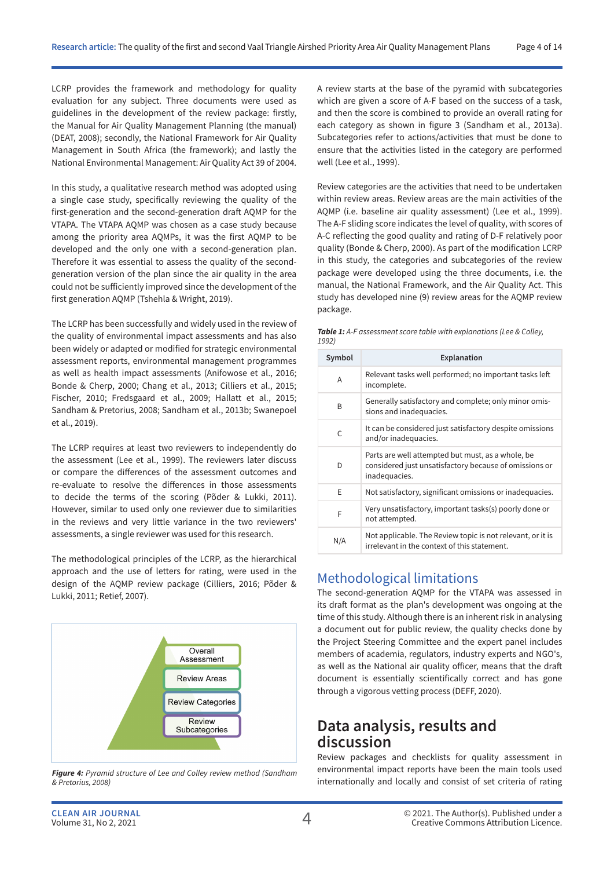LCRP provides the framework and methodology for quality evaluation for any subject. Three documents were used as guidelines in the development of the review package: firstly, the Manual for Air Quality Management Planning (the manual) (DEAT, 2008); secondly, the National Framework for Air Quality Management in South Africa (the framework); and lastly the National Environmental Management: Air Quality Act 39 of 2004.

In this study, a qualitative research method was adopted using a single case study, specifically reviewing the quality of the first-generation and the second-generation draft AQMP for the VTAPA. The VTAPA AQMP was chosen as a case study because among the priority area AQMPs, it was the first AQMP to be developed and the only one with a second-generation plan. Therefore it was essential to assess the quality of the secondgeneration version of the plan since the air quality in the area could not be sufficiently improved since the development of the first generation AQMP (Tshehla & Wright, 2019).

The LCRP has been successfully and widely used in the review of the quality of environmental impact assessments and has also been widely or adapted or modified for strategic environmental assessment reports, environmental management programmes as well as health impact assessments (Anifowose et al., 2016; Bonde & Cherp, 2000; Chang et al., 2013; Cilliers et al., 2015; Fischer, 2010; Fredsgaard et al., 2009; Hallatt et al., 2015; Sandham & Pretorius, 2008; Sandham et al., 2013b; Swanepoel et al., 2019).

The LCRP requires at least two reviewers to independently do the assessment (Lee et al., 1999). The reviewers later discuss or compare the differences of the assessment outcomes and re-evaluate to resolve the differences in those assessments to decide the terms of the scoring (Põder & Lukki, 2011). However, similar to used only one reviewer due to similarities in the reviews and very little variance in the two reviewers' assessments, a single reviewer was used for this research.

The methodological principles of the LCRP, as the hierarchical approach and the use of letters for rating, were used in the design of the AQMP review package (Cilliers, 2016; Põder & Lukki, 2011; Retief, 2007).



*Figure 4: Pyramid structure of Lee and Colley review method (Sandham & Pretorius, 2008)*

A review starts at the base of the pyramid with subcategories which are given a score of A-F based on the success of a task, and then the score is combined to provide an overall rating for each category as shown in figure 3 (Sandham et al., 2013a). Subcategories refer to actions/activities that must be done to ensure that the activities listed in the category are performed well (Lee et al., 1999).

Review categories are the activities that need to be undertaken within review areas. Review areas are the main activities of the AQMP (i.e. baseline air quality assessment) (Lee et al., 1999). The A-F sliding score indicates the level of quality, with scores of A-C reflecting the good quality and rating of D-F relatively poor quality (Bonde & Cherp, 2000). As part of the modification LCRP in this study, the categories and subcategories of the review package were developed using the three documents, i.e. the manual, the National Framework, and the Air Quality Act. This study has developed nine (9) review areas for the AQMP review package.

| <b>Table 1:</b> A-F assessment score table with explanations (Lee & Colley, |  |
|-----------------------------------------------------------------------------|--|
| 1992)                                                                       |  |

| Symbol | Explanation                                                                                                                  |
|--------|------------------------------------------------------------------------------------------------------------------------------|
|        |                                                                                                                              |
| A      | Relevant tasks well performed; no important tasks left<br>incomplete.                                                        |
| B      | Generally satisfactory and complete; only minor omis-<br>sions and inadequacies.                                             |
| C      | It can be considered just satisfactory despite omissions<br>and/or inadequacies.                                             |
| D      | Parts are well attempted but must, as a whole, be<br>considered just unsatisfactory because of omissions or<br>inadequacies. |
| F      | Not satisfactory, significant omissions or inadequacies.                                                                     |
| F      | Very unsatisfactory, important tasks(s) poorly done or<br>not attempted.                                                     |
| N/A    | Not applicable. The Review topic is not relevant, or it is<br>irrelevant in the context of this statement.                   |

#### Methodological limitations

The second-generation AQMP for the VTAPA was assessed in its draft format as the plan's development was ongoing at the time of this study. Although there is an inherent risk in analysing a document out for public review, the quality checks done by the Project Steering Committee and the expert panel includes members of academia, regulators, industry experts and NGO's, as well as the National air quality officer, means that the draft document is essentially scientifically correct and has gone through a vigorous vetting process (DEFF, 2020).

## **Data analysis, results and discussion**

Review packages and checklists for quality assessment in environmental impact reports have been the main tools used internationally and locally and consist of set criteria of rating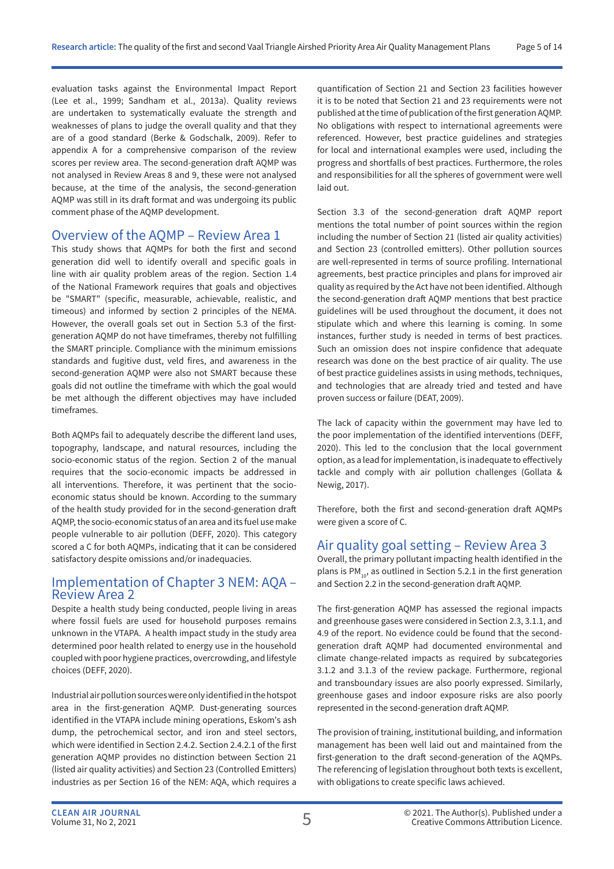evaluation tasks against the Environmental Impact Report (Lee et al., 1999; Sandham et al., 2013a). Quality reviews are undertaken to systematically evaluate the strength and weaknesses of plans to judge the overall quality and that they are of a good standard (Berke & Godschalk, 2009). Refer to appendix A for a comprehensive comparison of the review scores per review area. The second-generation draft AQMP was not analysed in Review Areas 8 and 9, these were not analysed because, at the time of the analysis, the second-generation AQMP was still in its draft format and was undergoing its public comment phase of the AQMP development.

#### Overview of the AQMP – Review Area 1

This study shows that AQMPs for both the first and second generation did well to identify overall and specific goals in line with air quality problem areas of the region. Section 1.4 of the National Framework requires that goals and objectives be "SMART" (specific, measurable, achievable, realistic, and timeous) and informed by section 2 principles of the NEMA. However, the overall goals set out in Section 5.3 of the firstgeneration AQMP do not have timeframes, thereby not fulfilling the SMART principle. Compliance with the minimum emissions standards and fugitive dust, veld fires, and awareness in the second-generation AQMP were also not SMART because these goals did not outline the timeframe with which the goal would be met although the different objectives may have included timeframes.

Both AQMPs fail to adequately describe the different land uses, topography, landscape, and natural resources, including the socio-economic status of the region. Section 2 of the manual requires that the socio-economic impacts be addressed in all interventions. Therefore, it was pertinent that the socioeconomic status should be known. According to the summary of the health study provided for in the second-generation draft AQMP, the socio-economic status of an area and its fuel use make people vulnerable to air pollution (DEFF, 2020). This category scored a C for both AQMPs, indicating that it can be considered satisfactory despite omissions and/or inadequacies.

#### Implementation of Chapter 3 NEM: AQA – Review Area 2

Despite a health study being conducted, people living in areas where fossil fuels are used for household purposes remains unknown in the VTAPA. A health impact study in the study area determined poor health related to energy use in the household coupled with poor hygiene practices, overcrowding, and lifestyle choices (DEFF, 2020).

Industrial air pollution sources were only identified in the hotspot area in the first-generation AQMP. Dust-generating sources identified in the VTAPA include mining operations, Eskom's ash dump, the petrochemical sector, and iron and steel sectors, which were identified in Section 2.4.2. Section 2.4.2.1 of the first generation AQMP provides no distinction between Section 21 (listed air quality activities) and Section 23 (Controlled Emitters) industries as per Section 16 of the NEM: AQA, which requires a

quantification of Section 21 and Section 23 facilities however it is to be noted that Section 21 and 23 requirements were not published at the time of publication of the first generation AQMP. No obligations with respect to international agreements were referenced. However, best practice guidelines and strategies for local and international examples were used, including the progress and shortfalls of best practices. Furthermore, the roles and responsibilities for all the spheres of government were well laid out.

Section 3.3 of the second-generation draft AQMP report mentions the total number of point sources within the region including the number of Section 21 (listed air quality activities) and Section 23 (controlled emitters). Other pollution sources are well-represented in terms of source profiling. International agreements, best practice principles and plans for improved air quality as required by the Act have not been identified. Although the second-generation draft AQMP mentions that best practice guidelines will be used throughout the document, it does not stipulate which and where this learning is coming. In some instances, further study is needed in terms of best practices. Such an omission does not inspire confidence that adequate research was done on the best practice of air quality. The use of best practice guidelines assists in using methods, techniques, and technologies that are already tried and tested and have proven success or failure (DEAT, 2009).

The lack of capacity within the government may have led to the poor implementation of the identified interventions (DEFF, 2020). This led to the conclusion that the local government option, as a lead for implementation, is inadequate to effectively tackle and comply with air pollution challenges (Gollata & Newig, 2017).

Therefore, both the first and second-generation draft AQMPs were given a score of C.

#### Air quality goal setting – Review Area 3

Overall, the primary pollutant impacting health identified in the plans is  $PM_{10}$ , as outlined in Section 5.2.1 in the first generation and Section 2.2 in the second-generation draft AQMP.

The first-generation AQMP has assessed the regional impacts and greenhouse gases were considered in Section 2.3, 3.1.1, and 4.9 of the report. No evidence could be found that the secondgeneration draft AQMP had documented environmental and climate change-related impacts as required by subcategories 3.1.2 and 3.1.3 of the review package. Furthermore, regional and transboundary issues are also poorly expressed. Similarly, greenhouse gases and indoor exposure risks are also poorly represented in the second-generation draft AQMP.

The provision of training, institutional building, and information management has been well laid out and maintained from the first-generation to the draft second-generation of the AQMPs. The referencing of legislation throughout both texts is excellent, with obligations to create specific laws achieved.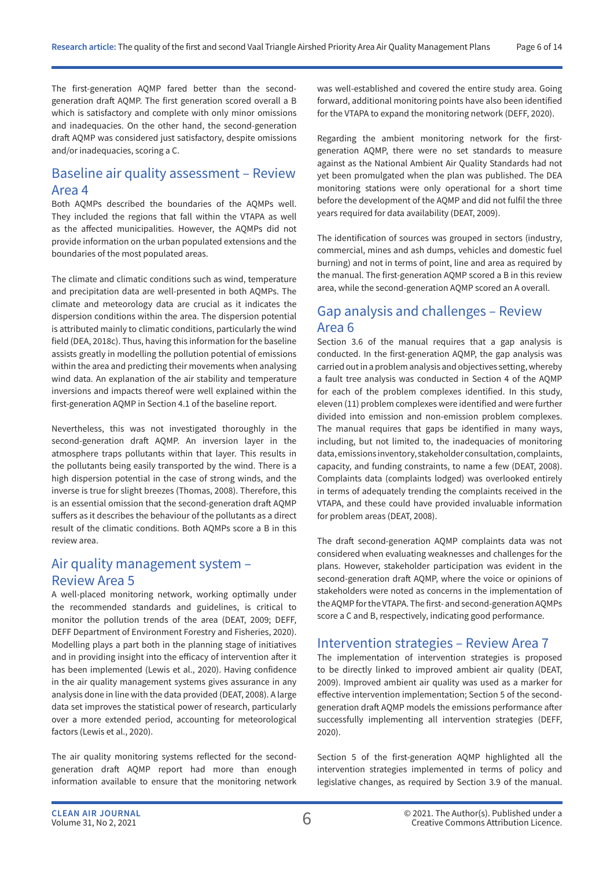The first-generation AQMP fared better than the secondgeneration draft AQMP. The first generation scored overall a B which is satisfactory and complete with only minor omissions and inadequacies. On the other hand, the second-generation draft AQMP was considered just satisfactory, despite omissions and/or inadequacies, scoring a C.

#### Baseline air quality assessment – Review Area 4

Both AQMPs described the boundaries of the AQMPs well. They included the regions that fall within the VTAPA as well as the affected municipalities. However, the AQMPs did not provide information on the urban populated extensions and the boundaries of the most populated areas.

The climate and climatic conditions such as wind, temperature and precipitation data are well-presented in both AQMPs. The climate and meteorology data are crucial as it indicates the dispersion conditions within the area. The dispersion potential is attributed mainly to climatic conditions, particularly the wind field (DEA, 2018c). Thus, having this information for the baseline assists greatly in modelling the pollution potential of emissions within the area and predicting their movements when analysing wind data. An explanation of the air stability and temperature inversions and impacts thereof were well explained within the first-generation AQMP in Section 4.1 of the baseline report.

Nevertheless, this was not investigated thoroughly in the second-generation draft AQMP. An inversion layer in the atmosphere traps pollutants within that layer. This results in the pollutants being easily transported by the wind. There is a high dispersion potential in the case of strong winds, and the inverse is true for slight breezes (Thomas, 2008). Therefore, this is an essential omission that the second-generation draft AQMP suffers as it describes the behaviour of the pollutants as a direct result of the climatic conditions. Both AQMPs score a B in this review area.

#### Air quality management system – Review Area 5

A well-placed monitoring network, working optimally under the recommended standards and guidelines, is critical to monitor the pollution trends of the area (DEAT, 2009; DEFF, DEFF Department of Environment Forestry and Fisheries, 2020). Modelling plays a part both in the planning stage of initiatives and in providing insight into the efficacy of intervention after it has been implemented (Lewis et al., 2020). Having confidence in the air quality management systems gives assurance in any analysis done in line with the data provided (DEAT, 2008). A large data set improves the statistical power of research, particularly over a more extended period, accounting for meteorological factors (Lewis et al., 2020).

The air quality monitoring systems reflected for the secondgeneration draft AQMP report had more than enough information available to ensure that the monitoring network was well-established and covered the entire study area. Going forward, additional monitoring points have also been identified for the VTAPA to expand the monitoring network (DEFF, 2020).

Regarding the ambient monitoring network for the firstgeneration AQMP, there were no set standards to measure against as the National Ambient Air Quality Standards had not yet been promulgated when the plan was published. The DEA monitoring stations were only operational for a short time before the development of the AQMP and did not fulfil the three years required for data availability (DEAT, 2009).

The identification of sources was grouped in sectors (industry, commercial, mines and ash dumps, vehicles and domestic fuel burning) and not in terms of point, line and area as required by the manual. The first-generation AQMP scored a B in this review area, while the second-generation AQMP scored an A overall.

#### Gap analysis and challenges – Review Area 6

Section 3.6 of the manual requires that a gap analysis is conducted. In the first-generation AQMP, the gap analysis was carried out in a problem analysis and objectives setting, whereby a fault tree analysis was conducted in Section 4 of the AQMP for each of the problem complexes identified. In this study, eleven (11) problem complexes were identified and were further divided into emission and non-emission problem complexes. The manual requires that gaps be identified in many ways, including, but not limited to, the inadequacies of monitoring data, emissions inventory, stakeholder consultation, complaints, capacity, and funding constraints, to name a few (DEAT, 2008). Complaints data (complaints lodged) was overlooked entirely in terms of adequately trending the complaints received in the VTAPA, and these could have provided invaluable information for problem areas (DEAT, 2008).

The draft second-generation AQMP complaints data was not considered when evaluating weaknesses and challenges for the plans. However, stakeholder participation was evident in the second-generation draft AQMP, where the voice or opinions of stakeholders were noted as concerns in the implementation of the AQMP for the VTAPA. The first- and second-generation AQMPs score a C and B, respectively, indicating good performance.

### Intervention strategies – Review Area 7

The implementation of intervention strategies is proposed to be directly linked to improved ambient air quality (DEAT, 2009). Improved ambient air quality was used as a marker for effective intervention implementation; Section 5 of the secondgeneration draft AQMP models the emissions performance after successfully implementing all intervention strategies (DEFF, 2020).

Section 5 of the first-generation AQMP highlighted all the intervention strategies implemented in terms of policy and legislative changes, as required by Section 3.9 of the manual.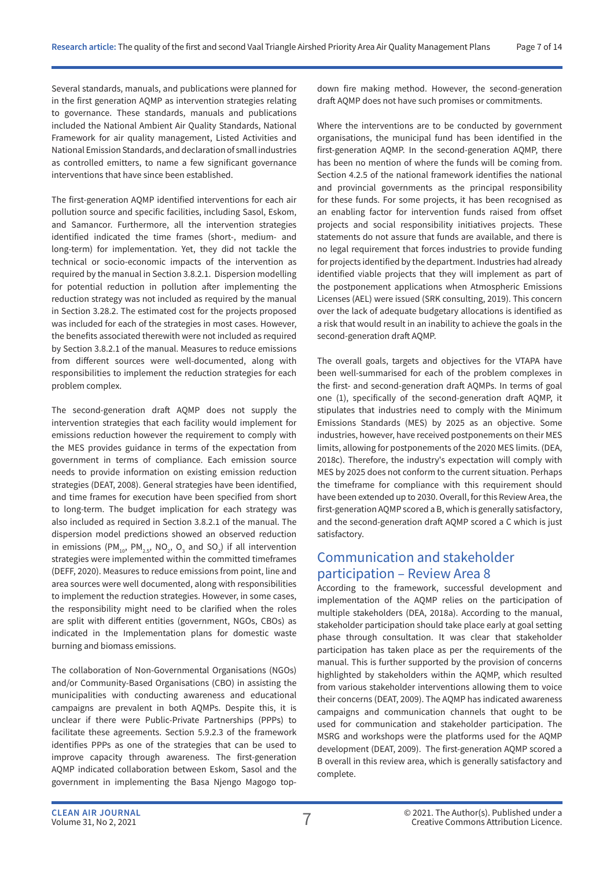Several standards, manuals, and publications were planned for in the first generation AQMP as intervention strategies relating to governance. These standards, manuals and publications included the National Ambient Air Quality Standards, National Framework for air quality management, Listed Activities and National Emission Standards, and declaration of small industries as controlled emitters, to name a few significant governance interventions that have since been established.

The first-generation AQMP identified interventions for each air pollution source and specific facilities, including Sasol, Eskom, and Samancor. Furthermore, all the intervention strategies identified indicated the time frames (short-, medium- and long-term) for implementation. Yet, they did not tackle the technical or socio-economic impacts of the intervention as required by the manual in Section 3.8.2.1. Dispersion modelling for potential reduction in pollution after implementing the reduction strategy was not included as required by the manual in Section 3.28.2. The estimated cost for the projects proposed was included for each of the strategies in most cases. However, the benefits associated therewith were not included as required by Section 3.8.2.1 of the manual. Measures to reduce emissions from different sources were well-documented, along with responsibilities to implement the reduction strategies for each problem complex.

The second-generation draft AQMP does not supply the intervention strategies that each facility would implement for emissions reduction however the requirement to comply with the MES provides guidance in terms of the expectation from government in terms of compliance. Each emission source needs to provide information on existing emission reduction strategies (DEAT, 2008). General strategies have been identified, and time frames for execution have been specified from short to long-term. The budget implication for each strategy was also included as required in Section 3.8.2.1 of the manual. The dispersion model predictions showed an observed reduction in emissions (PM<sub>10</sub>, PM<sub>2.5</sub>, NO<sub>2</sub>, O<sub>3</sub> and SO<sub>2</sub>) if all intervention strategies were implemented within the committed timeframes (DEFF, 2020). Measures to reduce emissions from point, line and area sources were well documented, along with responsibilities to implement the reduction strategies. However, in some cases, the responsibility might need to be clarified when the roles are split with different entities (government, NGOs, CBOs) as indicated in the Implementation plans for domestic waste burning and biomass emissions.

The collaboration of Non-Governmental Organisations (NGOs) and/or Community-Based Organisations (CBO) in assisting the municipalities with conducting awareness and educational campaigns are prevalent in both AQMPs. Despite this, it is unclear if there were Public-Private Partnerships (PPPs) to facilitate these agreements. Section 5.9.2.3 of the framework identifies PPPs as one of the strategies that can be used to improve capacity through awareness. The first-generation AQMP indicated collaboration between Eskom, Sasol and the government in implementing the Basa Njengo Magogo topdown fire making method. However, the second-generation draft AQMP does not have such promises or commitments.

Where the interventions are to be conducted by government organisations, the municipal fund has been identified in the first-generation AQMP. In the second-generation AQMP, there has been no mention of where the funds will be coming from. Section 4.2.5 of the national framework identifies the national and provincial governments as the principal responsibility for these funds. For some projects, it has been recognised as an enabling factor for intervention funds raised from offset projects and social responsibility initiatives projects. These statements do not assure that funds are available, and there is no legal requirement that forces industries to provide funding for projects identified by the department. Industries had already identified viable projects that they will implement as part of the postponement applications when Atmospheric Emissions Licenses (AEL) were issued (SRK consulting, 2019). This concern over the lack of adequate budgetary allocations is identified as a risk that would result in an inability to achieve the goals in the second-generation draft AQMP.

The overall goals, targets and objectives for the VTAPA have been well-summarised for each of the problem complexes in the first- and second-generation draft AQMPs. In terms of goal one (1), specifically of the second-generation draft AQMP, it stipulates that industries need to comply with the Minimum Emissions Standards (MES) by 2025 as an objective. Some industries, however, have received postponements on their MES limits, allowing for postponements of the 2020 MES limits. (DEA, 2018c). Therefore, the industry's expectation will comply with MES by 2025 does not conform to the current situation. Perhaps the timeframe for compliance with this requirement should have been extended up to 2030. Overall, for this Review Area, the first-generation AQMP scored a B, which is generally satisfactory, and the second-generation draft AQMP scored a C which is just satisfactory.

### Communication and stakeholder participation – Review Area 8

According to the framework, successful development and implementation of the AQMP relies on the participation of multiple stakeholders (DEA, 2018a). According to the manual, stakeholder participation should take place early at goal setting phase through consultation. It was clear that stakeholder participation has taken place as per the requirements of the manual. This is further supported by the provision of concerns highlighted by stakeholders within the AQMP, which resulted from various stakeholder interventions allowing them to voice their concerns (DEAT, 2009). The AQMP has indicated awareness campaigns and communication channels that ought to be used for communication and stakeholder participation. The MSRG and workshops were the platforms used for the AQMP development (DEAT, 2009). The first-generation AQMP scored a B overall in this review area, which is generally satisfactory and complete.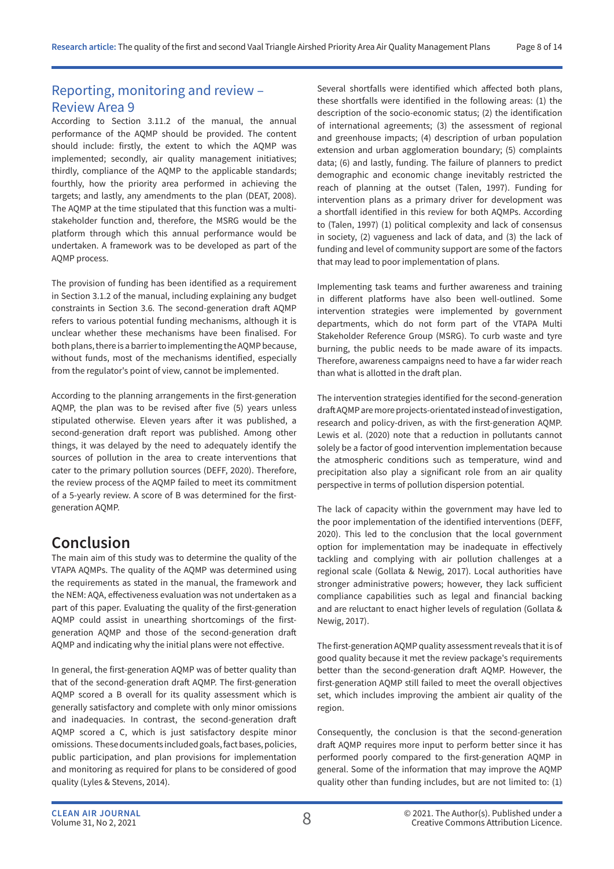## Reporting, monitoring and review – Review Area 9

According to Section 3.11.2 of the manual, the annual performance of the AQMP should be provided. The content should include: firstly, the extent to which the AQMP was implemented; secondly, air quality management initiatives; thirdly, compliance of the AQMP to the applicable standards; fourthly, how the priority area performed in achieving the targets; and lastly, any amendments to the plan (DEAT, 2008). The AQMP at the time stipulated that this function was a multistakeholder function and, therefore, the MSRG would be the platform through which this annual performance would be undertaken. A framework was to be developed as part of the AQMP process.

The provision of funding has been identified as a requirement in Section 3.1.2 of the manual, including explaining any budget constraints in Section 3.6. The second-generation draft AQMP refers to various potential funding mechanisms, although it is unclear whether these mechanisms have been finalised. For both plans, there is a barrier to implementing the AQMP because, without funds, most of the mechanisms identified, especially from the regulator's point of view, cannot be implemented.

According to the planning arrangements in the first-generation AQMP, the plan was to be revised after five (5) years unless stipulated otherwise. Eleven years after it was published, a second-generation draft report was published. Among other things, it was delayed by the need to adequately identify the sources of pollution in the area to create interventions that cater to the primary pollution sources (DEFF, 2020). Therefore, the review process of the AQMP failed to meet its commitment of a 5-yearly review. A score of B was determined for the firstgeneration AQMP.

## **Conclusion**

The main aim of this study was to determine the quality of the VTAPA AQMPs. The quality of the AQMP was determined using the requirements as stated in the manual, the framework and the NEM: AQA, effectiveness evaluation was not undertaken as a part of this paper. Evaluating the quality of the first-generation AQMP could assist in unearthing shortcomings of the firstgeneration AQMP and those of the second-generation draft AQMP and indicating why the initial plans were not effective.

In general, the first-generation AQMP was of better quality than that of the second-generation draft AQMP. The first-generation AQMP scored a B overall for its quality assessment which is generally satisfactory and complete with only minor omissions and inadequacies. In contrast, the second-generation draft AQMP scored a C, which is just satisfactory despite minor omissions. These documents included goals, fact bases, policies, public participation, and plan provisions for implementation and monitoring as required for plans to be considered of good quality (Lyles & Stevens, 2014).

Several shortfalls were identified which affected both plans, these shortfalls were identified in the following areas: (1) the description of the socio-economic status; (2) the identification of international agreements; (3) the assessment of regional and greenhouse impacts; (4) description of urban population extension and urban agglomeration boundary; (5) complaints data; (6) and lastly, funding. The failure of planners to predict demographic and economic change inevitably restricted the reach of planning at the outset (Talen, 1997). Funding for intervention plans as a primary driver for development was a shortfall identified in this review for both AQMPs. According to (Talen, 1997) (1) political complexity and lack of consensus in society, (2) vagueness and lack of data, and (3) the lack of funding and level of community support are some of the factors that may lead to poor implementation of plans.

Implementing task teams and further awareness and training in different platforms have also been well-outlined. Some intervention strategies were implemented by government departments, which do not form part of the VTAPA Multi Stakeholder Reference Group (MSRG). To curb waste and tyre burning, the public needs to be made aware of its impacts. Therefore, awareness campaigns need to have a far wider reach than what is allotted in the draft plan.

The intervention strategies identified for the second-generation draft AQMP are more projects-orientated instead of investigation, research and policy-driven, as with the first-generation AQMP. Lewis et al. (2020) note that a reduction in pollutants cannot solely be a factor of good intervention implementation because the atmospheric conditions such as temperature, wind and precipitation also play a significant role from an air quality perspective in terms of pollution dispersion potential.

The lack of capacity within the government may have led to the poor implementation of the identified interventions (DEFF, 2020). This led to the conclusion that the local government option for implementation may be inadequate in effectively tackling and complying with air pollution challenges at a regional scale (Gollata & Newig, 2017). Local authorities have stronger administrative powers; however, they lack sufficient compliance capabilities such as legal and financial backing and are reluctant to enact higher levels of regulation (Gollata & Newig, 2017).

The first-generation AQMP quality assessment reveals that it is of good quality because it met the review package's requirements better than the second-generation draft AQMP. However, the first-generation AQMP still failed to meet the overall objectives set, which includes improving the ambient air quality of the region.

Consequently, the conclusion is that the second-generation draft AQMP requires more input to perform better since it has performed poorly compared to the first-generation AQMP in general. Some of the information that may improve the AQMP quality other than funding includes, but are not limited to: (1)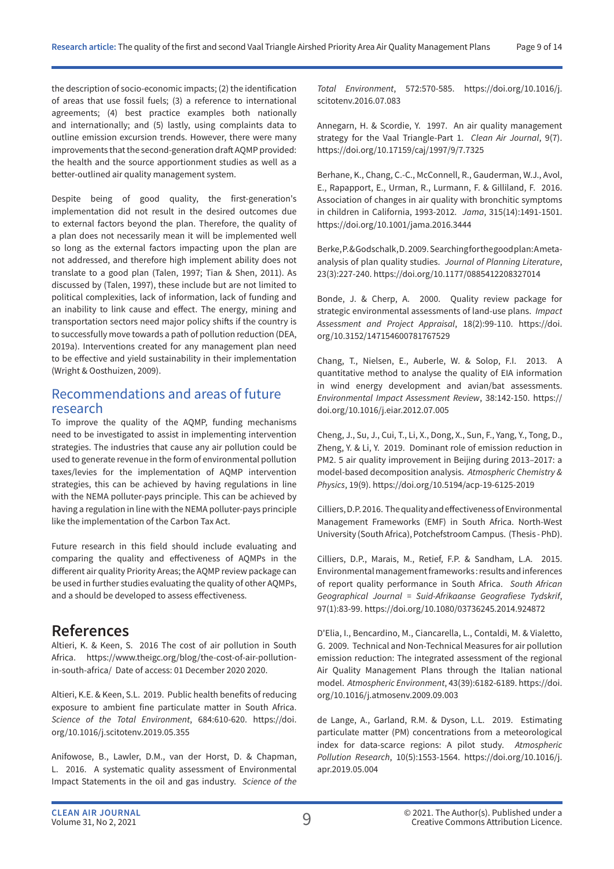the description of socio-economic impacts; (2) the identification of areas that use fossil fuels; (3) a reference to international agreements; (4) best practice examples both nationally and internationally; and (5) lastly, using complaints data to outline emission excursion trends. However, there were many improvements that the second-generation draft AQMP provided: the health and the source apportionment studies as well as a better-outlined air quality management system.

Despite being of good quality, the first-generation's implementation did not result in the desired outcomes due to external factors beyond the plan. Therefore, the quality of a plan does not necessarily mean it will be implemented well so long as the external factors impacting upon the plan are not addressed, and therefore high implement ability does not translate to a good plan (Talen, 1997; Tian & Shen, 2011). As discussed by (Talen, 1997), these include but are not limited to political complexities, lack of information, lack of funding and an inability to link cause and effect. The energy, mining and transportation sectors need major policy shifts if the country is to successfully move towards a path of pollution reduction (DEA, 2019a). Interventions created for any management plan need to be effective and yield sustainability in their implementation (Wright & Oosthuizen, 2009).

#### Recommendations and areas of future research

To improve the quality of the AQMP, funding mechanisms need to be investigated to assist in implementing intervention strategies. The industries that cause any air pollution could be used to generate revenue in the form of environmental pollution taxes/levies for the implementation of AQMP intervention strategies, this can be achieved by having regulations in line with the NEMA polluter-pays principle. This can be achieved by having a regulation in line with the NEMA polluter-pays principle like the implementation of the Carbon Tax Act.

Future research in this field should include evaluating and comparing the quality and effectiveness of AQMPs in the different air quality Priority Areas; the AQMP review package can be used in further studies evaluating the quality of other AQMPs, and a should be developed to assess effectiveness.

### **References**

Altieri, K. & Keen, S. 2016 The cost of air pollution in South Africa. https://www.theigc.org/blog/the-cost-of-air-pollutionin-south-africa/ Date of access: 01 December 2020 2020.

Altieri, K.E. & Keen, S.L. 2019. Public health benefits of reducing exposure to ambient fine particulate matter in South Africa. *Science of the Total Environment*, 684:610-620. https://doi. org/10.1016/j.scitotenv.2019.05.355

Anifowose, B., Lawler, D.M., van der Horst, D. & Chapman, L. 2016. A systematic quality assessment of Environmental Impact Statements in the oil and gas industry. *Science of the*  *Total Environment*, 572:570-585. https://doi.org/10.1016/j. scitotenv.2016.07.083

Annegarn, H. & Scordie, Y. 1997. An air quality management strategy for the Vaal Triangle-Part 1. *Clean Air Journal*, 9(7). https://doi.org/10.17159/caj/1997/9/7.7325

Berhane, K., Chang, C.-C., McConnell, R., Gauderman, W.J., Avol, E., Rapapport, E., Urman, R., Lurmann, F. & Gilliland, F. 2016. Association of changes in air quality with bronchitic symptoms in children in California, 1993-2012. *Jama*, 315(14):1491-1501. https://doi.org/10.1001/jama.2016.3444

Berke, P. & Godschalk, D. 2009. Searching for the good plan: A metaanalysis of plan quality studies. *Journal of Planning Literature*, 23(3):227-240. https://doi.org/10.1177/0885412208327014

Bonde, J. & Cherp, A. 2000. Quality review package for strategic environmental assessments of land-use plans. *Impact Assessment and Project Appraisal*, 18(2):99-110. https://doi. org/10.3152/147154600781767529

Chang, T., Nielsen, E., Auberle, W. & Solop, F.I. 2013. A quantitative method to analyse the quality of EIA information in wind energy development and avian/bat assessments. *Environmental Impact Assessment Review*, 38:142-150. https:// doi.org/10.1016/j.eiar.2012.07.005

Cheng, J., Su, J., Cui, T., Li, X., Dong, X., Sun, F., Yang, Y., Tong, D., Zheng, Y. & Li, Y. 2019. Dominant role of emission reduction in PM2. 5 air quality improvement in Beijing during 2013–2017: a model-based decomposition analysis. *Atmospheric Chemistry & Physics*, 19(9). https://doi.org/10.5194/acp-19-6125-2019

Cilliers, D.P. 2016. The quality and effectiveness of Environmental Management Frameworks (EMF) in South Africa. North-West University (South Africa), Potchefstroom Campus. (Thesis - PhD).

Cilliers, D.P., Marais, M., Retief, F.P. & Sandham, L.A. 2015. Environmental management frameworks : results and inferences of report quality performance in South Africa. *South African Geographical Journal = Suid-Afrikaanse Geografiese Tydskrif*, 97(1):83-99. https://doi.org/10.1080/03736245.2014.924872

D'Elia, I., Bencardino, M., Ciancarella, L., Contaldi, M. & Vialetto, G. 2009. Technical and Non-Technical Measures for air pollution emission reduction: The integrated assessment of the regional Air Quality Management Plans through the Italian national model. *Atmospheric Environment*, 43(39):6182-6189. https://doi. org/10.1016/j.atmosenv.2009.09.003

de Lange, A., Garland, R.M. & Dyson, L.L. 2019. Estimating particulate matter (PM) concentrations from a meteorological index for data-scarce regions: A pilot study. *Atmospheric Pollution Research*, 10(5):1553-1564. https://doi.org/10.1016/j. apr.2019.05.004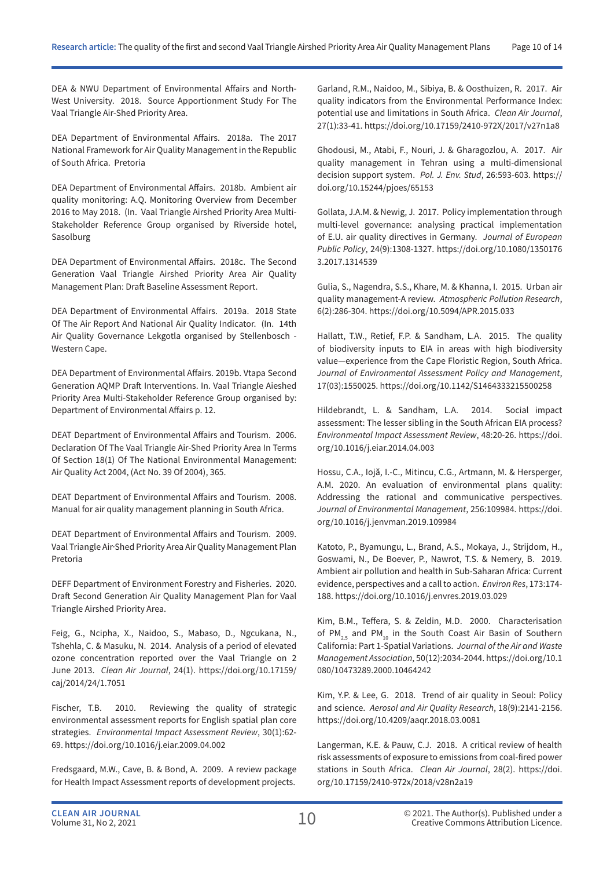DEA & NWU Department of Environmental Affairs and North-West University. 2018. Source Apportionment Study For The Vaal Triangle Air-Shed Priority Area.

DEA Department of Environmental Affairs. 2018a. The 2017 National Framework for Air Quality Management in the Republic of South Africa. Pretoria

DEA Department of Environmental Affairs. 2018b. Ambient air quality monitoring: A.Q. Monitoring Overview from December 2016 to May 2018. (In. Vaal Triangle Airshed Priority Area Multi-Stakeholder Reference Group organised by Riverside hotel, Sasolburg

DEA Department of Environmental Affairs. 2018c. The Second Generation Vaal Triangle Airshed Priority Area Air Quality Management Plan: Draft Baseline Assessment Report.

DEA Department of Environmental Affairs. 2019a. 2018 State Of The Air Report And National Air Quality Indicator. (In. 14th Air Quality Governance Lekgotla organised by Stellenbosch - Western Cape.

DEA Department of Environmental Affairs. 2019b. Vtapa Second Generation AQMP Draft Interventions. In. Vaal Triangle Aieshed Priority Area Multi-Stakeholder Reference Group organised by: Department of Environmental Affairs p. 12.

DEAT Department of Environmental Affairs and Tourism. 2006. Declaration Of The Vaal Triangle Air-Shed Priority Area In Terms Of Section 18(1) Of The National Environmental Management: Air Quality Act 2004, (Act No. 39 Of 2004), 365.

DEAT Department of Environmental Affairs and Tourism. 2008. Manual for air quality management planning in South Africa.

DEAT Department of Environmental Affairs and Tourism. 2009. Vaal Triangle Air·Shed Priority Area Air Quality Management Plan Pretoria

DEFF Department of Environment Forestry and Fisheries. 2020. Draft Second Generation Air Quality Management Plan for Vaal Triangle Airshed Priority Area.

Feig, G., Ncipha, X., Naidoo, S., Mabaso, D., Ngcukana, N., Tshehla, C. & Masuku, N. 2014. Analysis of a period of elevated ozone concentration reported over the Vaal Triangle on 2 June 2013. *Clean Air Journal*, 24(1). https://doi.org/10.17159/ caj/2014/24/1.7051

Fischer, T.B. 2010. Reviewing the quality of strategic environmental assessment reports for English spatial plan core strategies. *Environmental Impact Assessment Review*, 30(1):62- 69. https://doi.org/10.1016/j.eiar.2009.04.002

Fredsgaard, M.W., Cave, B. & Bond, A. 2009. A review package for Health Impact Assessment reports of development projects.

Garland, R.M., Naidoo, M., Sibiya, B. & Oosthuizen, R. 2017. Air quality indicators from the Environmental Performance Index: potential use and limitations in South Africa. *Clean Air Journal*, 27(1):33-41. https://doi.org/10.17159/2410-972X/2017/v27n1a8

Ghodousi, M., Atabi, F., Nouri, J. & Gharagozlou, A. 2017. Air quality management in Tehran using a multi-dimensional decision support system. *Pol. J. Env. Stud*, 26:593-603. https:// doi.org/10.15244/pjoes/65153

Gollata, J.A.M. & Newig, J. 2017. Policy implementation through multi-level governance: analysing practical implementation of E.U. air quality directives in Germany. *Journal of European Public Policy*, 24(9):1308-1327. https://doi.org/10.1080/1350176 3.2017.1314539

Gulia, S., Nagendra, S.S., Khare, M. & Khanna, I. 2015. Urban air quality management-A review. *Atmospheric Pollution Research*, 6(2):286-304. https://doi.org/10.5094/APR.2015.033

Hallatt, T.W., Retief, F.P. & Sandham, L.A. 2015. The quality of biodiversity inputs to EIA in areas with high biodiversity value—experience from the Cape Floristic Region, South Africa. *Journal of Environmental Assessment Policy and Management*, 17(03):1550025. https://doi.org/10.1142/S1464333215500258

Hildebrandt, L. & Sandham, L.A. 2014. Social impact assessment: The lesser sibling in the South African EIA process? *Environmental Impact Assessment Review*, 48:20-26. https://doi. org/10.1016/j.eiar.2014.04.003

Hossu, C.A., Iojă, I.-C., Mitincu, C.G., Artmann, M. & Hersperger, A.M. 2020. An evaluation of environmental plans quality: Addressing the rational and communicative perspectives. *Journal of Environmental Management*, 256:109984. https://doi. org/10.1016/j.jenvman.2019.109984

Katoto, P., Byamungu, L., Brand, A.S., Mokaya, J., Strijdom, H., Goswami, N., De Boever, P., Nawrot, T.S. & Nemery, B. 2019. Ambient air pollution and health in Sub-Saharan Africa: Current evidence, perspectives and a call to action. *Environ Res*, 173:174- 188. https://doi.org/10.1016/j.envres.2019.03.029

Kim, B.M., Teffera, S. & Zeldin, M.D. 2000. Characterisation of PM<sub>25</sub> and PM<sub>10</sub> in the South Coast Air Basin of Southern California: Part 1-Spatial Variations. *Journal of the Air and Waste Management Association*, 50(12):2034-2044. https://doi.org/10.1 080/10473289.2000.10464242

Kim, Y.P. & Lee, G. 2018. Trend of air quality in Seoul: Policy and science. *Aerosol and Air Quality Research*, 18(9):2141-2156. https://doi.org/10.4209/aaqr.2018.03.0081

Langerman, K.E. & Pauw, C.J. 2018. A critical review of health risk assessments of exposure to emissions from coal-fired power stations in South Africa. *Clean Air Journal*, 28(2). https://doi. org/10.17159/2410-972x/2018/v28n2a19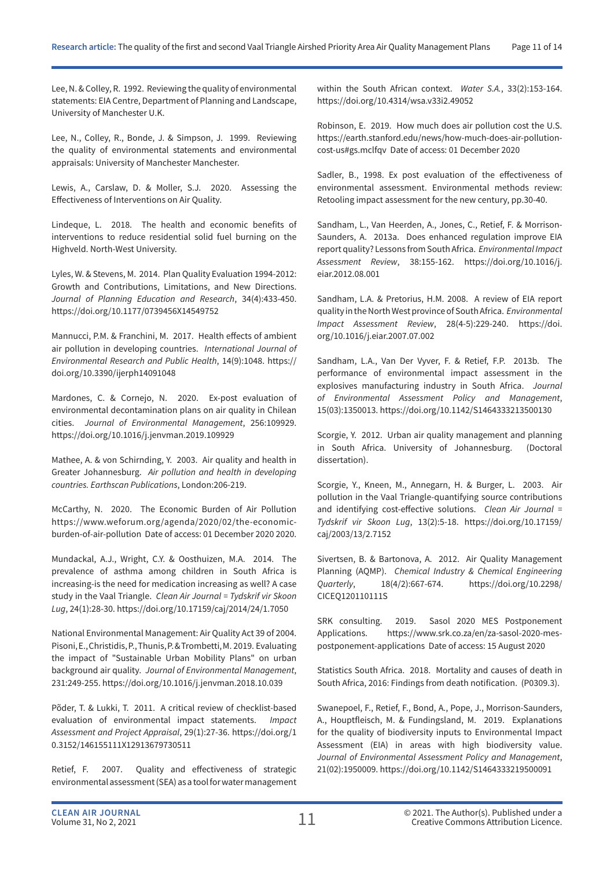Lee, N. & Colley, R. 1992. Reviewing the quality of environmental statements: EIA Centre, Department of Planning and Landscape, University of Manchester U.K.

Lee, N., Colley, R., Bonde, J. & Simpson, J. 1999. Reviewing the quality of environmental statements and environmental appraisals: University of Manchester Manchester.

Lewis, A., Carslaw, D. & Moller, S.J. 2020. Assessing the Effectiveness of Interventions on Air Quality.

Lindeque, L. 2018. The health and economic benefits of interventions to reduce residential solid fuel burning on the Highveld. North-West University.

Lyles, W. & Stevens, M. 2014. Plan Quality Evaluation 1994-2012: Growth and Contributions, Limitations, and New Directions. *Journal of Planning Education and Research*, 34(4):433-450. https://doi.org/10.1177/0739456X14549752

Mannucci, P.M. & Franchini, M. 2017. Health effects of ambient air pollution in developing countries. *International Journal of Environmental Research and Public Health*, 14(9):1048. https:// doi.org/10.3390/ijerph14091048

Mardones, C. & Cornejo, N. 2020. Ex-post evaluation of environmental decontamination plans on air quality in Chilean cities. *Journal of Environmental Management*, 256:109929. https://doi.org/10.1016/j.jenvman.2019.109929

Mathee, A. & von Schirnding, Y. 2003. Air quality and health in Greater Johannesburg. *Air pollution and health in developing countries. Earthscan Publications*, London:206-219.

McCarthy, N. 2020. The Economic Burden of Air Pollution https://www.weforum.org/agenda/2020/02/the-economicburden-of-air-pollution Date of access: 01 December 2020 2020.

Mundackal, A.J., Wright, C.Y. & Oosthuizen, M.A. 2014. The prevalence of asthma among children in South Africa is increasing-is the need for medication increasing as well? A case study in the Vaal Triangle. *Clean Air Journal = Tydskrif vir Skoon Lug*, 24(1):28-30. https://doi.org/10.17159/caj/2014/24/1.7050

National Environmental Management: Air Quality Act 39 of 2004. Pisoni, E., Christidis, P., Thunis, P. & Trombetti, M. 2019. Evaluating the impact of "Sustainable Urban Mobility Plans" on urban background air quality. *Journal of Environmental Management*, 231:249-255. https://doi.org/10.1016/j.jenvman.2018.10.039

Põder, T. & Lukki, T. 2011. A critical review of checklist-based evaluation of environmental impact statements. *Impact Assessment and Project Appraisal*, 29(1):27-36. https://doi.org/1 0.3152/146155111X12913679730511

Retief, F. 2007. Quality and effectiveness of strategic environmental assessment (SEA) as a tool for water management within the South African context. *Water S.A.*, 33(2):153-164. https://doi.org/10.4314/wsa.v33i2.49052

Robinson, E. 2019. How much does air pollution cost the U.S. https://earth.stanford.edu/news/how-much-does-air-pollutioncost-us#gs.mclfqv Date of access: 01 December 2020

Sadler, B., 1998. Ex post evaluation of the effectiveness of environmental assessment. Environmental methods review: Retooling impact assessment for the new century, pp.30-40.

Sandham, L., Van Heerden, A., Jones, C., Retief, F. & Morrison-Saunders, A. 2013a. Does enhanced regulation improve EIA report quality? Lessons from South Africa. *Environmental Impact Assessment Review*, 38:155-162. https://doi.org/10.1016/j. eiar.2012.08.001

Sandham, L.A. & Pretorius, H.M. 2008. A review of EIA report quality in the North West province of South Africa. *Environmental Impact Assessment Review*, 28(4-5):229-240. https://doi. org/10.1016/j.eiar.2007.07.002

Sandham, L.A., Van Der Vyver, F. & Retief, F.P. 2013b. The performance of environmental impact assessment in the explosives manufacturing industry in South Africa. *Journal of Environmental Assessment Policy and Management*, 15(03):1350013. https://doi.org/10.1142/S1464333213500130

Scorgie, Y. 2012. Urban air quality management and planning in South Africa. University of Johannesburg. (Doctoral dissertation).

Scorgie, Y., Kneen, M., Annegarn, H. & Burger, L. 2003. Air pollution in the Vaal Triangle-quantifying source contributions and identifying cost-effective solutions. *Clean Air Journal = Tydskrif vir Skoon Lug*, 13(2):5-18. https://doi.org/10.17159/ caj/2003/13/2.7152

Sivertsen, B. & Bartonova, A. 2012. Air Quality Management Planning (AQMP). *Chemical Industry & Chemical Engineering Quarterly*, 18(4/2):667-674. https://doi.org/10.2298/ CICEQ120110111S

SRK consulting. 2019. Sasol 2020 MES Postponement Applications. https://www.srk.co.za/en/za-sasol-2020-mespostponement-applications Date of access: 15 August 2020

Statistics South Africa. 2018. Mortality and causes of death in South Africa, 2016: Findings from death notification. (P0309.3).

Swanepoel, F., Retief, F., Bond, A., Pope, J., Morrison-Saunders, A., Houptfleisch, M. & Fundingsland, M. 2019. Explanations for the quality of biodiversity inputs to Environmental Impact Assessment (EIA) in areas with high biodiversity value. *Journal of Environmental Assessment Policy and Management*, 21(02):1950009. https://doi.org/10.1142/S1464333219500091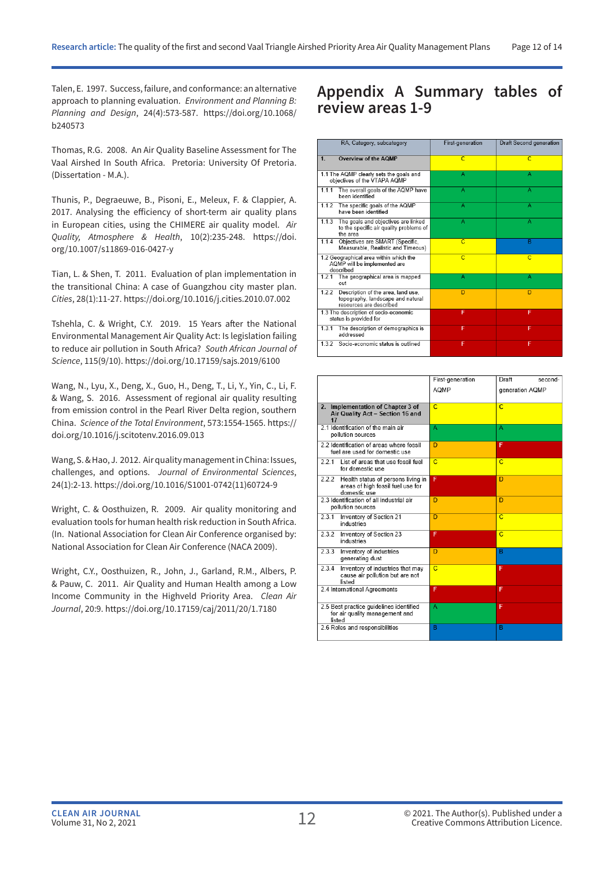Talen, E. 1997. Success, failure, and conformance: an alternative approach to planning evaluation. *Environment and Planning B: Planning and Design*, 24(4):573-587. https://doi.org/10.1068/ b240573

Thomas, R.G. 2008. An Air Quality Baseline Assessment for The Vaal Airshed In South Africa. Pretoria: University Of Pretoria. (Dissertation - M.A.).

Thunis, P., Degraeuwe, B., Pisoni, E., Meleux, F. & Clappier, A. 2017. Analysing the efficiency of short-term air quality plans in European cities, using the CHIMERE air quality model. *Air Quality, Atmosphere & Health*, 10(2):235-248. https://doi. org/10.1007/s11869-016-0427-y

Tian, L. & Shen, T. 2011. Evaluation of plan implementation in the transitional China: A case of Guangzhou city master plan. *Cities*, 28(1):11-27. https://doi.org/10.1016/j.cities.2010.07.002

Tshehla, C. & Wright, C.Y. 2019. 15 Years after the National Environmental Management Air Quality Act: Is legislation failing to reduce air pollution in South Africa? *South African Journal of Science*, 115(9/10). https://doi.org/10.17159/sajs.2019/6100

Wang, N., Lyu, X., Deng, X., Guo, H., Deng, T., Li, Y., Yin, C., Li, F. & Wang, S. 2016. Assessment of regional air quality resulting from emission control in the Pearl River Delta region, southern China. *Science of the Total Environment*, 573:1554-1565. https:// doi.org/10.1016/j.scitotenv.2016.09.013

Wang, S. & Hao, J. 2012. Air quality management in China: Issues, challenges, and options. *Journal of Environmental Sciences*, 24(1):2-13. https://doi.org/10.1016/S1001-0742(11)60724-9

Wright, C. & Oosthuizen, R. 2009. Air quality monitoring and evaluation tools for human health risk reduction in South Africa. (In. National Association for Clean Air Conference organised by: National Association for Clean Air Conference (NACA 2009).

Wright, C.Y., Oosthuizen, R., John, J., Garland, R.M., Albers, P. & Pauw, C. 2011. Air Quality and Human Health among a Low Income Community in the Highveld Priority Area. *Clean Air Journal*, 20:9. https://doi.org/10.17159/caj/2011/20/1.7180

## **Appendix A Summary tables of review areas 1-9**

| RA, Category, subcategory                                                                                   | First-generation | Draft Second generation |
|-------------------------------------------------------------------------------------------------------------|------------------|-------------------------|
| 1.<br>Overview of the AQMP                                                                                  | $\overline{C}$   | $\overline{C}$          |
| 1.1 The AQMP clearly sets the goals and<br>objectives of the VTAPA AQMP                                     | А                | А                       |
| 1.1.1<br>The overall goals of the AQMP have<br>been identified                                              | A                | A                       |
| 1.1.2 The specific goals of the AQMP<br>have been identified                                                | Α                | A                       |
| 1.1.3<br>The goals and objectives are linked<br>to the specific air quality problems of<br>the area         | A                | А                       |
| Objectives are SMART (Specific,<br>1.1.4<br>Measurable, Realistic and Timeous)                              | $\overline{C}$   | $\overline{B}$          |
| 1.2 Geographical area within which the<br>AQMP will be implemented are<br>described                         | $\overline{C}$   | $\overline{C}$          |
| The geographical area is mapped<br>1.2.1<br>out                                                             | А                | А                       |
| Description of the area, land use.<br>1.2.2<br>topography, landscape and natural<br>resources are described | D                | D                       |
| 1.3 The description of socio-economic<br>status is provided for                                             | F                | F                       |
| The description of demographics is<br>1.3.1<br>addressed                                                    | F                | F                       |
| 1.3.2<br>Socio-economic status is outlined                                                                  | F                | F                       |

|                                                                                                  | First-generation | Draft<br>second- |
|--------------------------------------------------------------------------------------------------|------------------|------------------|
|                                                                                                  | AOMP             | generation AQMP  |
|                                                                                                  |                  |                  |
| 2. Implementation of Chapter 3 of<br>Air Quality Act - Section 16 and                            | $\overline{C}$   | $\overline{C}$   |
| 17<br>2.1 Identification of the main air                                                         | A                | A                |
| pollution sources                                                                                |                  |                  |
| 2.2 Identification of areas where fossil<br>fuel are used for domestic use                       | $\overline{D}$   | F                |
| 2.2.1<br>List of areas that use fossil fuel<br>for domestic use                                  | $\overline{c}$   | C                |
| 2.2.2<br>Health status of persons living in<br>areas of high fossil fuel use for<br>domestic use | F                | D                |
| 2.3 Identification of all industrial air<br>pollution sources                                    | D                | D                |
| 2.3.1<br>Inventory of Section 21<br>industries                                                   | D                | $\overline{C}$   |
| 2.3.2<br>Inventory of Section 23<br>industries                                                   | F                | $\overline{c}$   |
| 2.3.3<br>Inventory of industries<br>generating dust                                              | D                | $\overline{B}$   |
| 2.3.4<br>Inventory of industries that may<br>cause air pollution but are not<br>listed           | $\overline{C}$   | F                |
| 2.4 International Agreements                                                                     | F                | F                |
| 2.5 Best practice guidelines identified<br>for air quality management and<br>listed              | Α                | F                |
| 2.6 Roles and responsibilities                                                                   | B                | B                |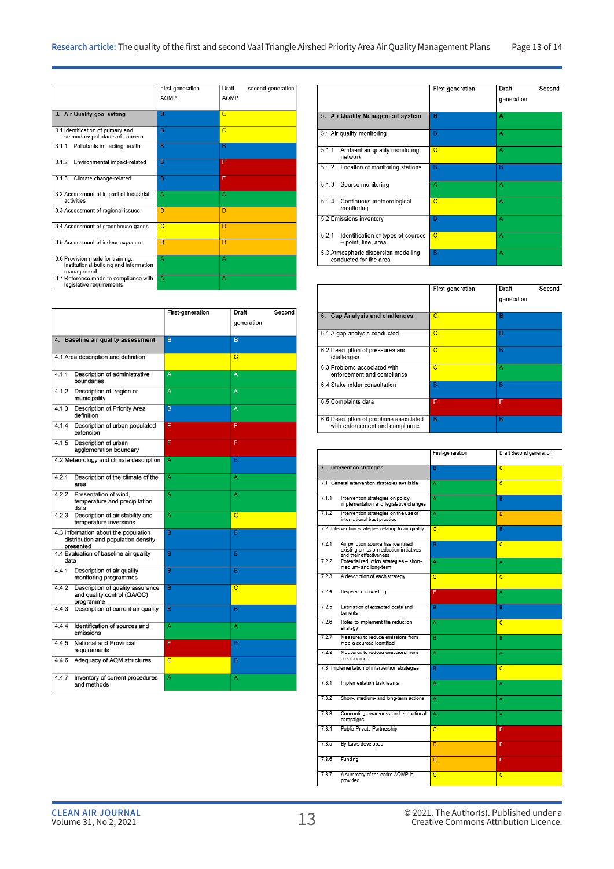|                                                                                          | First-generation<br>AOMP | Draft<br>second-generation<br>AQMP |
|------------------------------------------------------------------------------------------|--------------------------|------------------------------------|
| 3. Air Quality goal setting                                                              | в                        | $\overline{C}$                     |
| 3.1 Identification of primary and<br>secondary pollutants of concern                     | $\overline{\mathsf{B}}$  | $\overline{C}$                     |
| 3.1.1<br>Pollutants impacting health                                                     | B                        | B                                  |
| 3.1.2<br>Environmental impact-related                                                    | B                        | F                                  |
| 313<br>Climate change-related                                                            | D                        | F                                  |
| 3.2 Assessment of impact of industrial<br>activities                                     | A                        | A                                  |
| 3.3 Assessment of regional issues                                                        | D                        | D                                  |
| 3.4 Assessment of greenhouse gases                                                       | $\overline{C}$           | D                                  |
| 3.5 Assessment of indoor exposure                                                        | D                        | D                                  |
| 3.6 Provision made for training,<br>institutional building and information<br>management | А                        | А                                  |
| 3.7 Reference made to compliance with<br>legislative requirements                        | A                        | A                                  |

|       |                                                                                          | First-generation | Draft          | Second |
|-------|------------------------------------------------------------------------------------------|------------------|----------------|--------|
|       |                                                                                          |                  | generation     |        |
|       |                                                                                          |                  |                |        |
|       | 4. Baseline air quality assessment                                                       | B                | B              |        |
|       |                                                                                          |                  |                |        |
|       | 4.1 Area description and definition                                                      |                  | C              |        |
| 4.1.1 | Description of administrative<br>boundaries                                              | A                | A              |        |
| 4.1.2 | Description of region or<br>municipality                                                 | A                | A              |        |
| 4.1.3 | Description of Priority Area<br>definition                                               | B                | A              |        |
| 4.1.4 | Description of urban populated<br>extension                                              | F                | F              |        |
| 4.1.5 | Description of urban<br>agglomeration boundary                                           | F                | F              |        |
|       | 4.2 Meteorology and climate description                                                  | A                | B              |        |
| 4.2.1 | Description of the climate of the<br>area                                                | A                | A              |        |
| 4.2.2 | Presentation of wind,<br>temperature and precipitation<br>data                           | A                | A              |        |
| 4.2.3 | Description of air stability and<br>temperature inversions                               | A                | C              |        |
|       | 4.3 Information about the population<br>distribution and population density<br>presented | $\overline{B}$   | B              |        |
| data  | 4.4 Evaluation of baseline air quality                                                   | B                | B              |        |
| 4.4.1 | Description of air quality<br>monitoring programmes                                      | B                | B              |        |
| 4.4.2 | Description of quality assurance<br>and quality control (QA/QC)<br>programme             | B                | $\overline{C}$ |        |
| 4.4.3 | Description of current air quality                                                       | B                | B              |        |
| 4.4.4 | Identification of sources and<br>emissions                                               | A                | A              |        |
| 4.4.5 | National and Provincial<br>requirements                                                  | F                | B              |        |
| 4.4.6 | Adequacy of AQM structures                                                               | $\overline{C}$   | B              |        |
| 4.4.7 | Inventory of current procedures<br>and methods                                           | A                | A              |        |

|                                                                    | First-generation | Draft<br>Second<br>generation |
|--------------------------------------------------------------------|------------------|-------------------------------|
| 5. Air Quality Management system                                   | в                | A                             |
| 5.1 Air quality monitoring                                         | в                | А                             |
| 5.1.1<br>Ambient air quality monitoring<br>network                 | $\overline{C}$   | А                             |
| 5.1.2<br>Location of monitoring stations                           | в                | B                             |
| 5.1.3<br>Source monitoring                                         | А                | А                             |
| 5.1.4<br>Continuous meteorological<br>monitoring                   | $\overline{C}$   | А                             |
| 5.2 Emissions inventory                                            | в                | А                             |
| 5.2.1<br>Identification of types of sources<br>- point, line, area | C                | A                             |
| 5.3 Atmospheric dispersion modelling<br>conducted for the area     | B                | А                             |

|                                                                           | First-generation | Draft<br>generation | Second |
|---------------------------------------------------------------------------|------------------|---------------------|--------|
| 6. Gap Analysis and challenges                                            | C                | в                   |        |
| 6.1 A gap analysis conducted                                              | C                | B                   |        |
| 6.2 Description of pressures and<br>challenges                            | $\overline{C}$   | B                   |        |
| 6.3 Problems associated with<br>enforcement and compliance                | C                | A                   |        |
| 6.4 Stakeholder consultation                                              | в                | B                   |        |
| 6.5 Complaints data                                                       | F                | F                   |        |
| 6.6 Description of problems associated<br>with enforcement and compliance | B                | B                   |        |

|                                                                                                                    | First-generation | Draft Second generation |
|--------------------------------------------------------------------------------------------------------------------|------------------|-------------------------|
| 7. Intervention strategies                                                                                         | в                | $\overline{c}$          |
| 7.1 General intervention strategies available                                                                      | Ä                | c                       |
| 7.1.1<br>Intervention strategies on policy<br>implementation and legislative changes                               | A                | в                       |
| 7.1.2<br>Intervention strategies on the use of<br>international best practice                                      | A                | D                       |
| 7.2 Intervention strategies relating to air quality                                                                | ō                | $\overline{B}$          |
| 7.2.1<br>Air pollution source has identified<br>existing emission reduction initiatives<br>and their effectiveness | в                | c                       |
| Potential reduction strategies - short-.<br>7.2.2<br>medium- and long-term                                         | Ä                | A                       |
| 7.2.3<br>A description of each strategy                                                                            | $\overline{c}$   | $\overline{\mathbf{c}}$ |
| 7.2.4<br>Dispersion modelling                                                                                      | F                | A                       |
| 7.2.5<br>Estimation of expected costs and<br>benefits                                                              | в                | в                       |
| 7.2.6<br>Roles to implement the reduction<br>strategy                                                              | A                | c                       |
| 7.2.7<br>Measures to reduce emissions from<br>mobile sources identified                                            | R                | R                       |
| 7.2.8<br>Measures to reduce emissions from<br>area sources                                                         | A                | Ä                       |
| 7.3 Implementation of intervention strategies                                                                      | $\overline{B}$   | ō                       |
| 7.3.1<br>Implementation task teams                                                                                 | Ä                | A                       |
| 7.3.2<br>Short-, medium- and long-term actions                                                                     | Ä                | Ä                       |
| 7.3.3<br>Conducting awareness and educational<br>campaigns                                                         | A                | A                       |
| Public-Private Partnership<br>7.3.4                                                                                | c                | F                       |
| 7.3.5<br>By-Laws developed                                                                                         | D                | F                       |
| 7.3.6<br>Funding                                                                                                   | D                | F                       |
| A summary of the entire AQMP is<br>7.3.7<br>provided                                                               | c                | c                       |